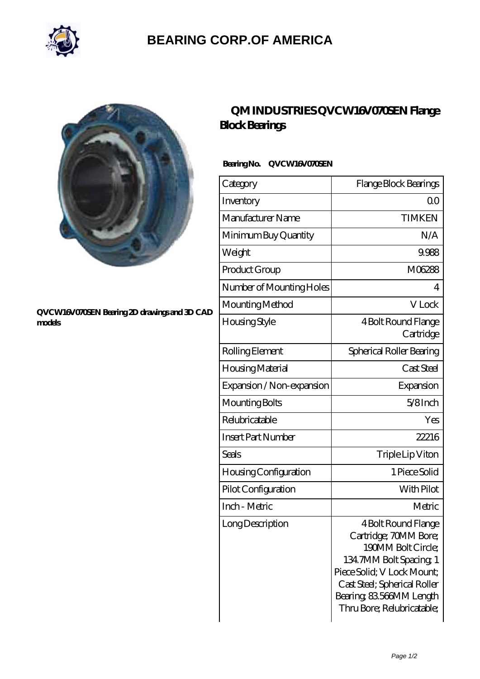

## **[BEARING CORP.OF AMERICA](https://bluemondayreview.com)**



#### **[QVCW16V070SEN Bearing 2D drawings and 3D CAD](https://bluemondayreview.com/pic-175444.html) [models](https://bluemondayreview.com/pic-175444.html)**

## **[QM INDUSTRIES QVCW16V070SEN Flange](https://bluemondayreview.com/bz-175444-qm-industries-qvcw16v070sen-flange-block-bearings.html) [Block Bearings](https://bluemondayreview.com/bz-175444-qm-industries-qvcw16v070sen-flange-block-bearings.html)**

### **Bearing No. QVCW16V070SEN**

| Category                     | Flange Block Bearings                                                                                                                                                                                                 |
|------------------------------|-----------------------------------------------------------------------------------------------------------------------------------------------------------------------------------------------------------------------|
| Inventory                    | 0 <sup>0</sup>                                                                                                                                                                                                        |
| Manufacturer Name            | <b>TIMKEN</b>                                                                                                                                                                                                         |
| Minimum Buy Quantity         | N/A                                                                                                                                                                                                                   |
| Weight                       | 9.988                                                                                                                                                                                                                 |
| Product Group                | M06288                                                                                                                                                                                                                |
| Number of Mounting Holes     | 4                                                                                                                                                                                                                     |
| Mounting Method              | V Lock                                                                                                                                                                                                                |
| Housing Style                | 4 Bolt Round Flange<br>Cartridge                                                                                                                                                                                      |
| Rolling Element              | Spherical Roller Bearing                                                                                                                                                                                              |
| Housing Material             | Cast Steel                                                                                                                                                                                                            |
| Expansion / Non-expansion    | Expansion                                                                                                                                                                                                             |
| Mounting Bolts               | $5/8$ Inch                                                                                                                                                                                                            |
| Relubricatable               | Yes                                                                                                                                                                                                                   |
| <b>Insert Part Number</b>    | 22216                                                                                                                                                                                                                 |
| Seals                        | Triple Lip Viton                                                                                                                                                                                                      |
| <b>Housing Configuration</b> | 1 Piece Solid                                                                                                                                                                                                         |
| Pilot Configuration          | With Pilot                                                                                                                                                                                                            |
| Inch - Metric                | Metric                                                                                                                                                                                                                |
| Long Description             | 4 Bolt Round Flange<br>Cartridge; 70MM Bore;<br>190MM Bolt Circle;<br>134.7MM Bolt Spacing, 1<br>Piece Solid; V Lock Mount;<br>Cast Steel; Spherical Roller<br>Bearing, 83,566MM Length<br>Thru Bore; Relubricatable; |